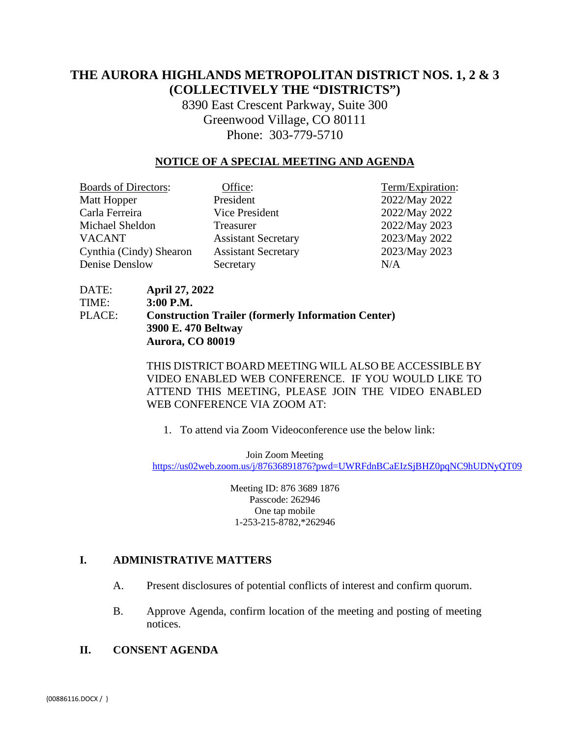# **THE AURORA HIGHLANDS METROPOLITAN DISTRICT NOS. 1, 2 & 3 (COLLECTIVELY THE "DISTRICTS")**

8390 East Crescent Parkway, Suite 300 Greenwood Village, CO 80111 Phone: 303-779-5710

## **NOTICE OF A SPECIAL MEETING AND AGENDA**

| <b>Boards of Directors:</b> | Office:                    | Term/Expiration: |
|-----------------------------|----------------------------|------------------|
| Matt Hopper                 | President                  | 2022/May 2022    |
| Carla Ferreira              | Vice President             | 2022/May 2022    |
| Michael Sheldon             | Treasurer                  | 2022/May 2023    |
| <b>VACANT</b>               | <b>Assistant Secretary</b> | 2023/May 2022    |
| Cynthia (Cindy) Shearon     | <b>Assistant Secretary</b> | 2023/May 2023    |
| Denise Denslow              | Secretary                  | N/A              |

DATE: **April 27, 2022**  TIME: **3:00 P.M.** PLACE: **Construction Trailer (formerly Information Center) 3900 E. 470 Beltway Aurora, CO 80019** 

> THIS DISTRICT BOARD MEETING WILL ALSO BE ACCESSIBLE BY VIDEO ENABLED WEB CONFERENCE. IF YOU WOULD LIKE TO ATTEND THIS MEETING, PLEASE JOIN THE VIDEO ENABLED WEB CONFERENCE VIA ZOOM AT:

1. To attend via Zoom Videoconference use the below link:

Join Zoom Meeting <https://us02web.zoom.us/j/87636891876?pwd=UWRFdnBCaEIzSjBHZ0pqNC9hUDNyQT09>

> Meeting ID: 876 3689 1876 Passcode: 262946 One tap mobile 1-253-215-8782,\*262946

#### **I. ADMINISTRATIVE MATTERS**

- A. Present disclosures of potential conflicts of interest and confirm quorum.
- B. Approve Agenda, confirm location of the meeting and posting of meeting notices.
- **II. CONSENT AGENDA**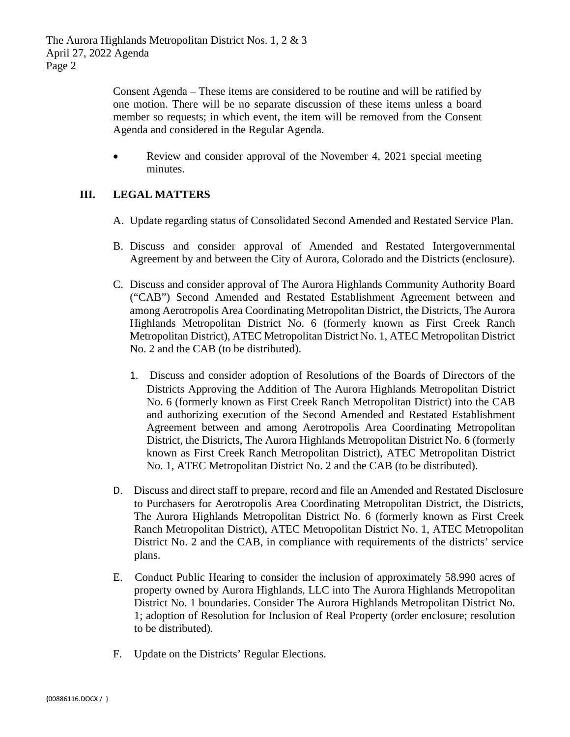Consent Agenda – These items are considered to be routine and will be ratified by one motion. There will be no separate discussion of these items unless a board member so requests; in which event, the item will be removed from the Consent Agenda and considered in the Regular Agenda.

• Review and consider approval of the November 4, 2021 special meeting minutes.

# **III. LEGAL MATTERS**

- A. Update regarding status of Consolidated Second Amended and Restated Service Plan.
- B. Discuss and consider approval of Amended and Restated Intergovernmental Agreement by and between the City of Aurora, Colorado and the Districts (enclosure).
- C. Discuss and consider approval of The Aurora Highlands Community Authority Board ("CAB") Second Amended and Restated Establishment Agreement between and among Aerotropolis Area Coordinating Metropolitan District, the Districts, The Aurora Highlands Metropolitan District No. 6 (formerly known as First Creek Ranch Metropolitan District), ATEC Metropolitan District No. 1, ATEC Metropolitan District No. 2 and the CAB (to be distributed).
	- 1. Discuss and consider adoption of Resolutions of the Boards of Directors of the Districts Approving the Addition of The Aurora Highlands Metropolitan District No. 6 (formerly known as First Creek Ranch Metropolitan District) into the CAB and authorizing execution of the Second Amended and Restated Establishment Agreement between and among Aerotropolis Area Coordinating Metropolitan District, the Districts, The Aurora Highlands Metropolitan District No. 6 (formerly known as First Creek Ranch Metropolitan District), ATEC Metropolitan District No. 1, ATEC Metropolitan District No. 2 and the CAB (to be distributed).
- D. Discuss and direct staff to prepare, record and file an Amended and Restated Disclosure to Purchasers for Aerotropolis Area Coordinating Metropolitan District, the Districts, The Aurora Highlands Metropolitan District No. 6 (formerly known as First Creek Ranch Metropolitan District), ATEC Metropolitan District No. 1, ATEC Metropolitan District No. 2 and the CAB, in compliance with requirements of the districts' service plans.
- E. Conduct Public Hearing to consider the inclusion of approximately 58.990 acres of property owned by Aurora Highlands, LLC into The Aurora Highlands Metropolitan District No. 1 boundaries. Consider The Aurora Highlands Metropolitan District No. 1; adoption of Resolution for Inclusion of Real Property (order enclosure; resolution to be distributed).
- F. Update on the Districts' Regular Elections.